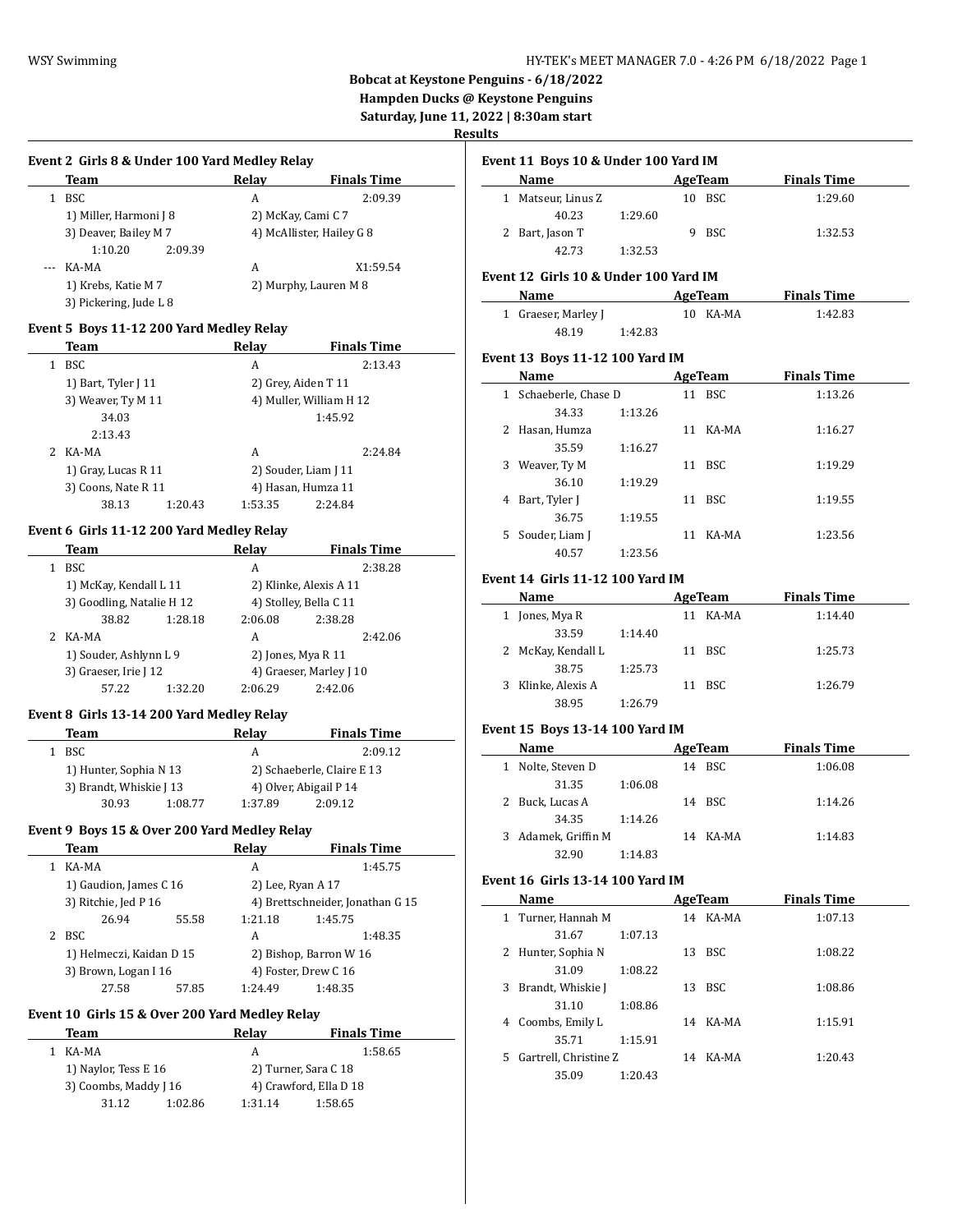l.

# **Bobcat at Keystone Penguins - 6/18/2022**

**Hampden Ducks @ Keystone Penguins**

**Saturday, June 11, 2022 | 8:30am start**

## **Results**

 $\overline{a}$ 

 $\overline{a}$ 

## **Event 2 Girls 8 & Under 100 Yard Medley Relay**

| Team                   | Relay | <b>Finals Time</b>        |
|------------------------|-------|---------------------------|
| BSC                    | A     | 2:09.39                   |
| 1) Miller, Harmoni J 8 |       | 2) McKay, Cami C 7        |
| 3) Deaver, Bailey M 7  |       | 4) McAllister, Hailey G 8 |
| 1:10.20<br>2:09.39     |       |                           |
| KA-MA                  | A     | X1:59.54                  |
| 1) Krebs, Katie M 7    |       | 2) Murphy, Lauren M 8     |
| 3) Pickering, Jude L 8 |       |                           |

#### **Event 5 Boys 11-12 200 Yard Medley Relay**

| Team                | Relay                | <b>Finals Time</b>      |
|---------------------|----------------------|-------------------------|
| <b>BSC</b><br>1     | A                    | 2:13.43                 |
| 1) Bart, Tyler J 11 | 2) Grey, Aiden T 11  |                         |
| 3) Weaver, Ty M 11  |                      | 4) Muller, William H 12 |
| 34.03               |                      | 1:45.92                 |
| 2:13.43             |                      |                         |
| 2 KA-MA             | A                    | 2:24.84                 |
| 1) Gray, Lucas R 11 | 2) Souder, Liam J 11 |                         |
| 3) Coons, Nate R 11 | 4) Hasan, Humza 11   |                         |
| 38.13<br>1:20.43    | 1:53.35              | 2:24.84                 |

## **Event 6 Girls 11-12 200 Yard Medley Relay**

| Team                      |         | Relay   | <b>Finals Time</b>      |  |
|---------------------------|---------|---------|-------------------------|--|
| <b>BSC</b>                |         | А       | 2:38.28                 |  |
| 1) McKay, Kendall L 11    |         |         | 2) Klinke, Alexis A 11  |  |
| 3) Goodling, Natalie H 12 |         |         | 4) Stolley, Bella C 11  |  |
| 38.82                     | 1:28.18 | 2:06.08 | 2:38.28                 |  |
| KA-MA                     |         | A       | 2:42.06                 |  |
| 1) Souder, Ashlynn L 9    |         |         | 2) Jones, Mya R 11      |  |
| 3) Graeser, Irie J 12     |         |         | 4) Graeser, Marley J 10 |  |
| 57.22                     | 1:32.20 | 2:06.29 | 2:42.06                 |  |

#### **Event 8 Girls 13-14 200 Yard Medley Relay**

| Team                    |         | Relav                      | <b>Finals Time</b>     |  |
|-------------------------|---------|----------------------------|------------------------|--|
| BSC.                    |         | А                          | 2:09.12                |  |
| 1) Hunter, Sophia N 13  |         | 2) Schaeberle, Claire E 13 |                        |  |
| 3) Brandt, Whiskie J 13 |         |                            | 4) Olver, Abigail P 14 |  |
| 30.93                   | 1:08.77 | 1:37.89                    | 2:09.12                |  |

## **Event 9 Boys 15 & Over 200 Yard Medley Relay**

| Team                     |       | Relav                  | <b>Finals Time</b>               |
|--------------------------|-------|------------------------|----------------------------------|
| KA-MA                    |       | A                      | 1:45.75                          |
| 1) Gaudion, James C 16   |       | 2) Lee, Ryan A 17      |                                  |
| 3) Ritchie, Jed P 16     |       |                        | 4) Brettschneider, Jonathan G 15 |
| 26.94                    | 55.58 | 1:21.18                | 1:45.75                          |
| 2 BSC                    |       | A                      | 1:48.35                          |
| 1) Helmeczi, Kaidan D 15 |       | 2) Bishop, Barron W 16 |                                  |
| 3) Brown, Logan I 16     |       | 4) Foster, Drew C 16   |                                  |
| 27.58                    | 57.85 | 1:24.49                | 1:48.35                          |

#### **Event 10 Girls 15 & Over 200 Yard Medley Relay**

| Team                  |         | Relav                | <b>Finals Time</b>     |  |
|-----------------------|---------|----------------------|------------------------|--|
| KA-MA                 |         | A                    | 1:58.65                |  |
| 1) Naylor, Tess E 16  |         | 2) Turner, Sara C 18 |                        |  |
| 3) Coombs, Maddy J 16 |         |                      | 4) Crawford, Ella D 18 |  |
| 31.12                 | 1:02.86 | 1:31.14              | 1:58.65                |  |

| Name             |         | AgeTeam |     | <b>Finals Time</b> |
|------------------|---------|---------|-----|--------------------|
| Matseur, Linus Z |         | 10.     | BSC | 1:29.60            |
| 40.23            | 1:29.60 |         |     |                    |
| 2 Bart, Jason T  |         | q.      | BSC | 1:32.53            |
| 42.73            | 1:32.53 |         |     |                    |

#### **Event 12 Girls 10 & Under 100 Yard IM**

| <b>Name</b>         |         | AgeTeam  | <b>Finals Time</b> |  |
|---------------------|---------|----------|--------------------|--|
| 1 Graeser, Marley J |         | 10 KA-MA | 1:42.83            |  |
| 48.19               | 1:42.83 |          |                    |  |

## **Event 13 Boys 11-12 100 Yard IM**

|              | Name                |         |    | AgeTeam    | <b>Finals Time</b> |  |
|--------------|---------------------|---------|----|------------|--------------------|--|
| $\mathbf{1}$ | Schaeberle, Chase D |         | 11 | <b>BSC</b> | 1:13.26            |  |
|              | 34.33               | 1:13.26 |    |            |                    |  |
| 2            | Hasan, Humza        |         | 11 | KA-MA      | 1:16.27            |  |
|              | 35.59               | 1:16.27 |    |            |                    |  |
| 3            | Weaver, Ty M        |         | 11 | BSC        | 1:19.29            |  |
|              | 36.10               | 1:19.29 |    |            |                    |  |
| 4            | Bart, Tyler J       |         | 11 | <b>BSC</b> | 1:19.55            |  |
|              | 36.75               | 1:19.55 |    |            |                    |  |
|              | 5 Souder, Liam J    |         | 11 | KA-MA      | 1:23.56            |  |
|              | 40.57               | 1:23.56 |    |            |                    |  |

#### **Event 14 Girls 11-12 100 Yard IM**

| Name                  |         | AgeTeam | <b>Finals Time</b> |
|-----------------------|---------|---------|--------------------|
| Jones, Mya R          | 11      | KA-MA   | 1:14.40            |
| 33.59                 | 1:14.40 |         |                    |
| 2 McKay, Kendall L    |         | 11 BSC  | 1:25.73            |
| 38.75                 | 1:25.73 |         |                    |
| Klinke, Alexis A<br>3 | 11      | BSC     | 1:26.79            |
| 38.95                 | 1:26.79 |         |                    |

## **Event 15 Boys 13-14 100 Yard IM**

|    | Name              |         | AgeTeam  | <b>Finals Time</b> |  |
|----|-------------------|---------|----------|--------------------|--|
| 1  | Nolte, Steven D   |         | 14 BSC   | 1:06.08            |  |
|    | 31.35             | 1:06.08 |          |                    |  |
| 2. | Buck, Lucas A     |         | 14 BSC   | 1:14.26            |  |
|    | 34.35             | 1:14.26 |          |                    |  |
| 3  | Adamek, Griffin M |         | 14 KA-MA | 1:14.83            |  |
|    | 32.90             | 1:14.83 |          |                    |  |

#### **Event 16 Girls 13-14 100 Yard IM**

|    | Name                  |         | AgeTeam |          | <b>Finals Time</b> |  |
|----|-----------------------|---------|---------|----------|--------------------|--|
| 1  | Turner, Hannah M      |         |         | 14 KA-MA | 1:07.13            |  |
|    | 31.67                 | 1:07.13 |         |          |                    |  |
| 2  | Hunter, Sophia N      |         | 13      | BSC.     | 1:08.22            |  |
|    | 31.09                 | 1:08.22 |         |          |                    |  |
| 3  | Brandt, Whiskie J     |         | 13      | BSC.     | 1:08.86            |  |
|    | 31.10                 | 1:08.86 |         |          |                    |  |
| 4  | Coombs, Emily L       |         | 14      | KA-MA    | 1:15.91            |  |
|    | 35.71                 | 1:15.91 |         |          |                    |  |
| 5. | Gartrell, Christine Z |         | 14      | KA-MA    | 1:20.43            |  |
|    | 35.09                 | 1:20.43 |         |          |                    |  |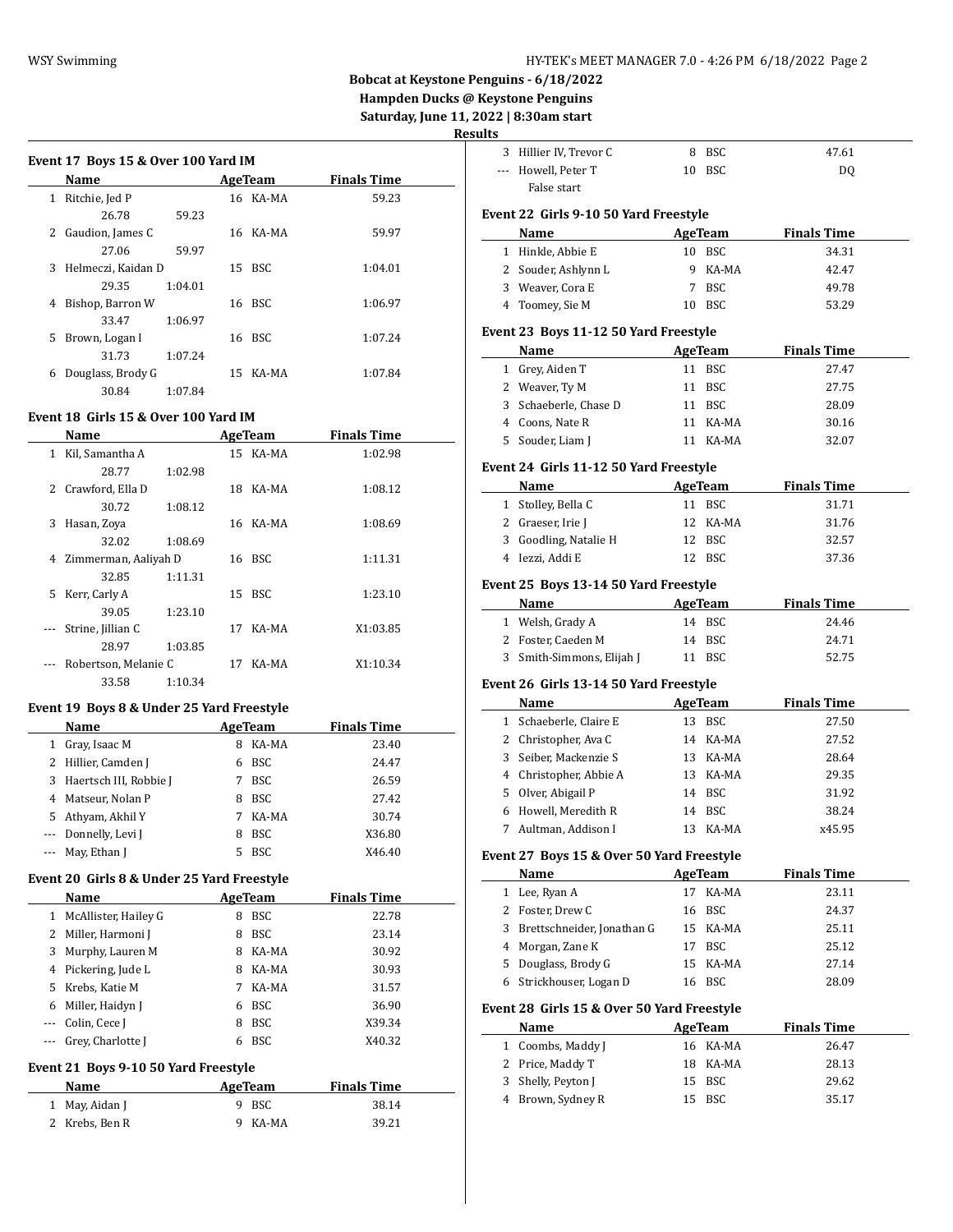# **Bobcat at Keystone Penguins - 6/18/2022**

**Hampden Ducks @ Keystone Penguins Saturday, June 11, 2022 | 8:30am start**

**Results**

|   | <b>Name</b>        |         | AgeTeam  | <b>Finals Time</b> |  |
|---|--------------------|---------|----------|--------------------|--|
| 1 | Ritchie, Jed P     |         | 16 KA-MA | 59.23              |  |
|   | 26.78              | 59.23   |          |                    |  |
| 2 | Gaudion, James C   |         | 16 KA-MA | 59.97              |  |
|   | 27.06              | 59.97   |          |                    |  |
| 3 | Helmeczi, Kaidan D |         | 15 BSC   | 1:04.01            |  |
|   | 29.35              | 1:04.01 |          |                    |  |
| 4 | Bishop, Barron W   |         | 16 BSC   | 1:06.97            |  |
|   | 33.47              | 1:06.97 |          |                    |  |
| 5 | Brown, Logan I     |         | 16 BSC   | 1:07.24            |  |
|   | 31.73              | 1:07.24 |          |                    |  |
| 6 | Douglass, Brody G  |         | 15 KA-MA | 1:07.84            |  |
|   | 30.84              | 1:07.84 |          |                    |  |

## **Event 18 Girls 15 & Over 100 Yard IM**

|    | Name                 |         | AgeTeam |          | <b>Finals Time</b> |  |
|----|----------------------|---------|---------|----------|--------------------|--|
| 1  | Kil, Samantha A      |         |         | 15 KA-MA | 1:02.98            |  |
|    | 28.77                | 1:02.98 |         |          |                    |  |
| 2  | Crawford, Ella D     |         | 18      | KA-MA    | 1:08.12            |  |
|    | 30.72                | 1:08.12 |         |          |                    |  |
| 3  | Hasan, Zoya          |         |         | 16 KA-MA | 1:08.69            |  |
|    | 32.02                | 1:08.69 |         |          |                    |  |
| 4  | Zimmerman, Aaliyah D |         |         | 16 BSC   | 1:11.31            |  |
|    | 32.85                | 1:11.31 |         |          |                    |  |
| 5. | Kerr, Carly A        |         | 15      | BSC      | 1:23.10            |  |
|    | 39.05                | 1:23.10 |         |          |                    |  |
|    | Strine, Jillian C    |         | 17      | KA-MA    | X1:03.85           |  |
|    | 28.97                | 1:03.85 |         |          |                    |  |
|    | Robertson, Melanie C |         | 17      | KA-MA    | X1:10.34           |  |
|    | 33.58                | 1:10.34 |         |          |                    |  |

## **Event 19 Boys 8 & Under 25 Yard Freestyle**

|   | <b>Name</b>              | AgeTeam |            | <b>Finals Time</b> |  |
|---|--------------------------|---------|------------|--------------------|--|
| 1 | Gray, Isaac M            | 8       | KA-MA      | 23.40              |  |
|   | 2 Hillier, Camden J      | 6       | <b>BSC</b> | 24.47              |  |
|   | 3 Haertsch III, Robbie J |         | <b>BSC</b> | 26.59              |  |
|   | 4 Matseur, Nolan P       | 8       | <b>BSC</b> | 27.42              |  |
|   | 5 Athyam, Akhil Y        | 7       | KA-MA      | 30.74              |  |
|   | --- Donnelly, Levi J     | 8       | <b>BSC</b> | X36.80             |  |
|   | --- May, Ethan J         |         | <b>BSC</b> | X46.40             |  |

## **Event 20 Girls 8 & Under 25 Yard Freestyle**

|   | Name                 |    | AgeTeam    | <b>Finals Time</b> |
|---|----------------------|----|------------|--------------------|
| 1 | McAllister, Hailey G | 8  | <b>BSC</b> | 22.78              |
|   | 2 Miller, Harmoni J  | 8  | <b>BSC</b> | 23.14              |
| 3 | Murphy, Lauren M     | 8  | KA-MA      | 30.92              |
|   | 4 Pickering, Jude L  | 8  | KA-MA      | 30.93              |
|   | 5 Krebs, Katie M     | 7  | KA-MA      | 31.57              |
| 6 | Miller, Haidyn J     | 6. | BSC        | 36.90              |
|   | Colin, Cece J        | 8  | <b>BSC</b> | X39.34             |
|   | Grey, Charlotte J    | 6  | <b>BSC</b> | X40.32             |

#### **Event 21 Boys 9-10 50 Yard Freestyle**

| Name           | AgeTeam | <b>Finals Time</b> |
|----------------|---------|--------------------|
| 1 May, Aidan J | 9 BSC   | 38.14              |
| 2 Krebs, Ben R | 9 KA-MA | 39.21              |

|       | 3 Hillier IV, Trevor C                     |    | 8 BSC          | 47.61              |
|-------|--------------------------------------------|----|----------------|--------------------|
| $---$ | Howell, Peter T                            | 10 | <b>BSC</b>     | DQ                 |
|       | False start                                |    |                |                    |
|       |                                            |    |                |                    |
|       | Event 22 Girls 9-10 50 Yard Freestyle      |    |                |                    |
|       | Name                                       |    | <b>AgeTeam</b> | <b>Finals Time</b> |
|       | 1 Hinkle, Abbie E                          |    | 10 BSC         | 34.31              |
|       | 2 Souder, Ashlynn L                        |    | 9 KA-MA        | 42.47              |
|       | 3 Weaver, Cora E                           |    | 7 BSC          | 49.78              |
|       | 4 Toomey, Sie M                            |    | 10 BSC         | 53.29              |
|       | Event 23 Boys 11-12 50 Yard Freestyle      |    |                |                    |
|       | Name                                       |    | <b>AgeTeam</b> | <b>Finals Time</b> |
|       | 1 Grey, Aiden T                            |    | 11 BSC         | 27.47              |
|       | 2 Weaver, Ty M                             | 11 | <b>BSC</b>     | 27.75              |
|       | 3 Schaeberle, Chase D                      | 11 | <b>BSC</b>     | 28.09              |
|       | 4 Coons, Nate R                            | 11 | KA-MA          | 30.16              |
|       | 5 Souder, Liam J                           |    | 11 KA-MA       | 32.07              |
|       |                                            |    |                |                    |
|       | Event 24 Girls 11-12 50 Yard Freestyle     |    |                |                    |
|       | Name                                       |    | <b>AgeTeam</b> | <b>Finals Time</b> |
|       | 1 Stolley, Bella C                         |    | 11 BSC         | 31.71              |
|       | 2 Graeser, Irie J                          |    | 12 KA-MA       | 31.76              |
|       | 3 Goodling, Natalie H                      |    | 12 BSC         | 32.57              |
|       | 4 Iezzi, Addi E                            |    | 12 BSC         | 37.36              |
|       | Event 25 Boys 13-14 50 Yard Freestyle      |    |                |                    |
|       | Name                                       |    | <b>AgeTeam</b> | <b>Finals Time</b> |
|       | 1 Welsh, Grady A                           |    | 14 BSC         | 24.46              |
|       |                                            |    |                |                    |
|       |                                            |    |                |                    |
|       | 2 Foster, Caeden M                         |    | 14 BSC         | 24.71              |
|       | 3 Smith-Simmons, Elijah J                  |    | 11 BSC         | 52.75              |
|       | Event 26 Girls 13-14 50 Yard Freestyle     |    |                |                    |
|       | Name                                       |    | AgeTeam        | <b>Finals Time</b> |
|       | 1 Schaeberle, Claire E                     |    | 13 BSC         | 27.50              |
|       | 2 Christopher, Ava C                       |    | 14 KA-MA       | 27.52              |
|       | 3 Seiber, Mackenzie S                      |    | 13 KA-MA       | 28.64              |
|       | 4 Christopher, Abbie A                     |    | 13 KA-MA       | 29.35              |
|       | 5 Olver, Abigail P                         |    | 14 BSC         | 31.92              |
|       | 6 Howell, Meredith R                       |    | 14 BSC         | 38.24              |
|       | 7 Aultman, Addison I                       |    | 13 KA-MA       | x45.95             |
|       |                                            |    |                |                    |
|       | Event 27 Boys 15 & Over 50 Yard Freestyle  |    |                |                    |
|       | Name                                       |    | <b>AgeTeam</b> | <b>Finals Time</b> |
|       | 1 Lee, Ryan A                              | 17 | KA-MA          | 23.11              |
|       | 2 Foster, Drew C                           |    | 16 BSC         | 24.37              |
|       | 3 Brettschneider, Jonathan G               |    | 15 KA-MA       | 25.11              |
|       | 4 Morgan, Zane K                           | 17 | <b>BSC</b>     | 25.12              |
|       | 5 Douglass, Brody G                        | 15 | KA-MA          | 27.14              |
| 6     | Strickhouser, Logan D                      |    | 16 BSC         | 28.09              |
|       | Event 28 Girls 15 & Over 50 Yard Freestyle |    |                |                    |
|       | Name                                       |    | <b>AgeTeam</b> | <b>Finals Time</b> |
|       | 1 Coombs, Maddy J                          |    | 16 KA-MA       | 26.47              |
|       | 2 Price, Maddy T                           |    | 18 KA-MA       | 28.13              |
|       | 3 Shelly, Peyton J                         |    | 15 BSC         | 29.62              |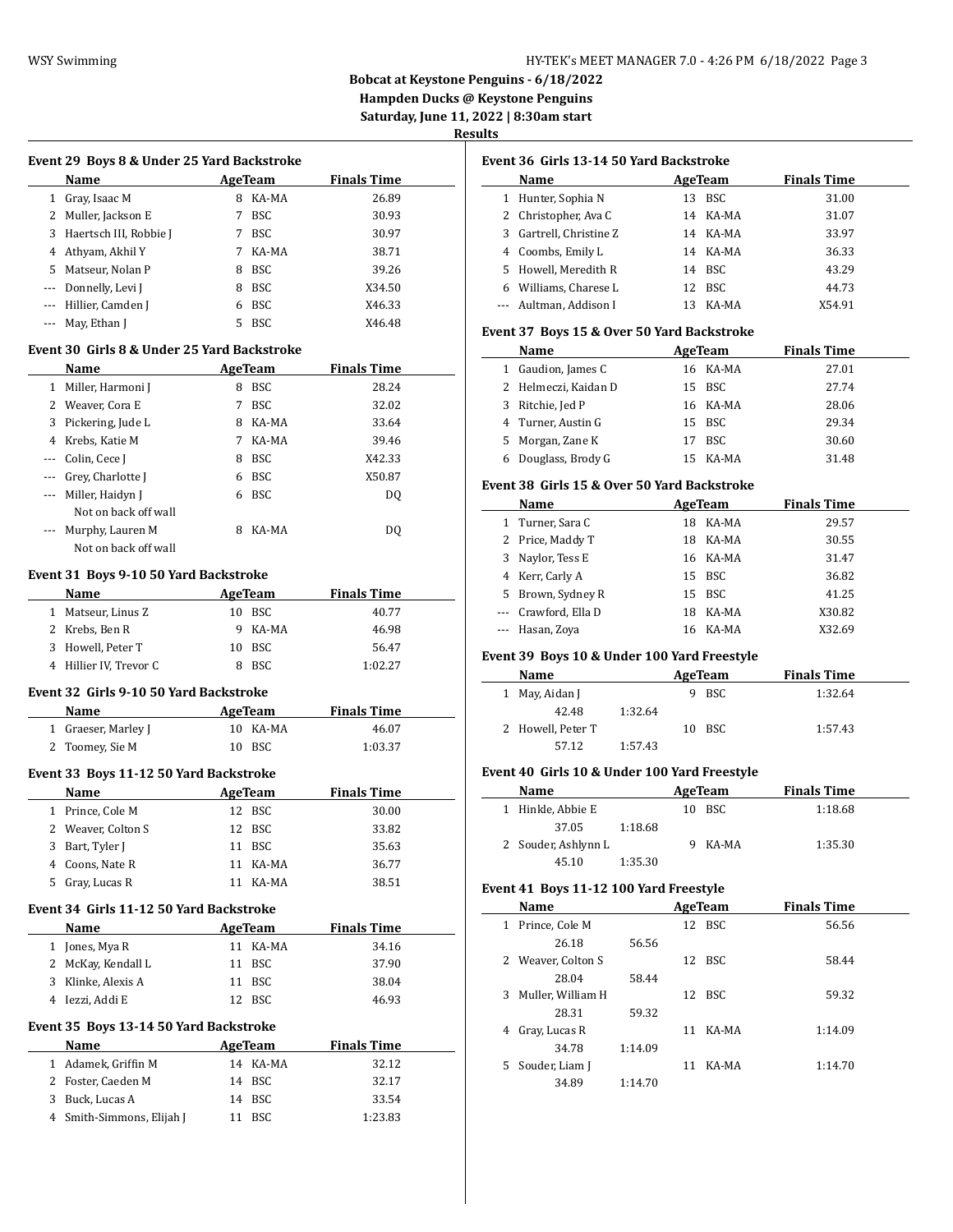## WSY Swimming **HY-TEK's MEET MANAGER 7.0 - 4:26 PM 6/18/2022** Page 3

**Bobcat at Keystone Penguins - 6/18/2022**

**Hampden Ducks @ Keystone Penguins**

**Saturday, June 11, 2022 | 8:30am start**

# **Results**

 $\overline{\phantom{a}}$ 

 $\sim$ 

 $\frac{1}{2}$ 

 $\sim$ 

|          | Name                   |    | AgeTeam    | <b>Finals Time</b> |
|----------|------------------------|----|------------|--------------------|
| 1        | Gray, Isaac M          | 8  | KA-MA      | 26.89              |
|          | 2 Muller, Jackson E    | 7  | <b>BSC</b> | 30.93              |
| 3        | Haertsch III, Robbie J | 7  | <b>BSC</b> | 30.97              |
| 4        | Athyam, Akhil Y        | 7  | KA-MA      | 38.71              |
| 5.       | Matseur. Nolan P       | 8  | <b>BSC</b> | 39.26              |
| $\cdots$ | Donnelly, Levi J       | 8  | <b>BSC</b> | X34.50             |
|          | --- Hillier, Camden J  | 6  | BSC        | X46.33             |
|          | May, Ethan J           | 5. | <b>BSC</b> | X46.48             |

## **Event 30 Girls 8 & Under 25 Yard Backstroke**

| Name     |                      |   | AgeTeam    | <b>Finals Time</b> |  |  |
|----------|----------------------|---|------------|--------------------|--|--|
| 1        | Miller, Harmoni J    | 8 | <b>BSC</b> | 28.24              |  |  |
| 2        | Weaver, Cora E       | 7 | <b>BSC</b> | 32.02              |  |  |
| 3        | Pickering, Jude L    | 8 | KA-MA      | 33.64              |  |  |
| 4        | Krebs, Katie M       | 7 | KA-MA      | 39.46              |  |  |
| $\cdots$ | Colin, Cece J        | 8 | <b>BSC</b> | X42.33             |  |  |
| $\cdots$ | Grey, Charlotte J    | 6 | <b>BSC</b> | X50.87             |  |  |
| $\cdots$ | Miller, Haidyn J     | 6 | BSC        | DO.                |  |  |
|          | Not on back off wall |   |            |                    |  |  |
| $- - -$  | Murphy, Lauren M     | 8 | KA-MA      | DO                 |  |  |
|          | Not on back off wall |   |            |                    |  |  |

## **Event 31 Boys 9-10 50 Yard Backstroke**

| <b>Name</b>            | AgeTeam |         | <b>Finals Time</b> |
|------------------------|---------|---------|--------------------|
| Matseur, Linus Z       |         | 10 BSC  | 40.77              |
| 2 Krebs, Ben R         |         | 9 KA-MA | 46.98              |
| 3 Howell, Peter T      |         | 10 BSC  | 56.47              |
| 4 Hillier IV, Trevor C |         | - BSC   | 1:02.27            |
|                        |         |         |                    |

## **Event 32 Girls 9-10 50 Yard Backstroke**

| Name                | AgeTeam  | <b>Finals Time</b> |  |
|---------------------|----------|--------------------|--|
| 1 Graeser, Marley J | 10 KA-MA | 46.07              |  |
| 2 Toomey, Sie M     | 10 BSC   | 1:03.37            |  |

#### **Event 33 Boys 11-12 50 Yard Backstroke**

| 600 000 0000 11 12 30 141 0 24 050 251 |                    |          |                    |  |  |  |  |
|----------------------------------------|--------------------|----------|--------------------|--|--|--|--|
|                                        | <b>Name</b>        | AgeTeam  | <b>Finals Time</b> |  |  |  |  |
|                                        | 1 Prince, Cole M   | 12 BSC   | 30.00              |  |  |  |  |
|                                        | 2 Weaver, Colton S | 12 BSC   | 33.82              |  |  |  |  |
|                                        | 3 Bart, Tyler J    | 11 BSC   | 35.63              |  |  |  |  |
|                                        | 4 Coons, Nate R    | 11 KA-MA | 36.77              |  |  |  |  |
|                                        | 5 Gray, Lucas R    | 11 KA-MA | 38.51              |  |  |  |  |

## **Event 34 Girls 11-12 50 Yard Backstroke**

|                                        | Name              |    | AgeTeam    | <b>Finals Time</b> |  |  |  |
|----------------------------------------|-------------------|----|------------|--------------------|--|--|--|
|                                        | Jones, Mya R      |    | 11 KA-MA   | 34.16              |  |  |  |
| 2                                      | McKay, Kendall L  | 11 | <b>BSC</b> | 37.90              |  |  |  |
| 3                                      | Klinke, Alexis A  | 11 | <b>BSC</b> | 38.04              |  |  |  |
| 4                                      | Iezzi. Addi E     |    | 12 BSC     | 46.93              |  |  |  |
| Event 35 Boys 13-14 50 Yard Backstroke |                   |    |            |                    |  |  |  |
|                                        | Name              |    | AgeTeam    | <b>Finals Time</b> |  |  |  |
|                                        | Adamek, Griffin M |    | 14 KA-MA   | 32.12              |  |  |  |
|                                        | Foster, Caeden M  | 14 | BSC        | 32.17              |  |  |  |

3 Buck, Lucas A 14 BSC 33.54 4 Smith-Simmons, Elijah J 11 BSC 1:23.83

| lts          |                                               |         |                |                    |
|--------------|-----------------------------------------------|---------|----------------|--------------------|
|              | Event 36  Girls 13-14 50 Yard Backstroke      |         |                |                    |
|              | Name                                          |         | <b>AgeTeam</b> | <b>Finals Time</b> |
|              | 1 Hunter, Sophia N                            |         | 13 BSC         | 31.00              |
|              | 2 Christopher, Ava C                          |         | 14 KA-MA       | 31.07              |
| 3            | Gartrell, Christine Z                         |         | 14 KA-MA       | 33.97              |
|              | 4 Coombs, Emily L                             |         | 14 KA-MA       | 36.33              |
|              | 5 Howell, Meredith R                          |         | 14 BSC         | 43.29              |
|              | 6 Williams, Charese L                         |         | 12 BSC         | 44.73              |
|              | --- Aultman, Addison I                        |         | 13 KA-MA       | X54.91             |
|              | Event 37 Boys 15 & Over 50 Yard Backstroke    |         |                |                    |
|              | Name                                          |         | <b>AgeTeam</b> | <b>Finals Time</b> |
|              | 1 Gaudion, James C                            |         | 16 KA-MA       | 27.01              |
|              | 2 Helmeczi, Kaidan D                          |         | 15 BSC         | 27.74              |
|              | 3 Ritchie, Jed P                              |         | 16 KA-MA       | 28.06              |
|              | 4 Turner, Austin G                            |         | 15 BSC         | 29.34              |
| 5            | Morgan, Zane K                                |         | 17 BSC         | 30.60              |
| 6            | Douglass, Brody G                             |         | 15 KA-MA       | 31.48              |
|              | Event 38  Girls 15 & Over 50 Yard Backstroke  |         |                |                    |
|              | Name                                          |         | AgeTeam        | <b>Finals Time</b> |
|              | 1 Turner, Sara C                              |         | 18 KA-MA       | 29.57              |
|              | 2 Price, Maddy T                              |         | 18 KA-MA       | 30.55              |
|              | 3 Naylor, Tess E                              |         | 16 KA-MA       | 31.47              |
|              | 4 Kerr, Carly A                               |         | 15 BSC         | 36.82              |
|              | 5 Brown, Sydney R                             |         | 15 BSC         | 41.25              |
|              | --- Crawford, Ella D                          |         | 18 KA-MA       | X30.82             |
|              | --- Hasan, Zoya                               |         | 16 KA-MA       | X32.69             |
|              | Event 39 Boys 10 & Under 100 Yard Freestyle   |         |                |                    |
|              | Name                                          |         | AgeTeam        | <b>Finals Time</b> |
| $\mathbf{1}$ | May, Aidan J                                  |         | 9 BSC          | 1:32.64            |
|              | 42.48                                         | 1:32.64 |                |                    |
|              | 2 Howell, Peter T                             |         | 10 BSC         | 1:57.43            |
|              | 57.12                                         | 1:57.43 |                |                    |
|              |                                               |         |                |                    |
|              | Event 40  Girls 10 & Under 100 Yard Freestyle |         |                |                    |
|              | Name                                          |         | AgeTeam        | <b>Finals Time</b> |
|              | 1 Hinkle, Abbie E                             |         | 10 BSC         | 1:18.68            |
|              | 37.05                                         | 1:18.68 |                |                    |
|              | 2 Souder, Ashlynn L                           |         | 9 KA-MA        | 1:35.30            |
|              | 45.10                                         | 1:35.30 |                |                    |
|              | Event 41 Boys 11-12 100 Yard Freestyle        |         |                |                    |
|              | Name                                          |         | <b>AgeTeam</b> | <b>Finals Time</b> |
|              | 1 Prince, Cole M                              |         | 12 BSC         | 56.56              |
|              | 26.18                                         | 56.56   |                |                    |
|              | 2 Weaver, Colton S                            |         | 12 BSC         | 58.44              |
|              | 28.04                                         | 58.44   |                |                    |
| 3            | Muller, William H                             |         | 12 BSC         | 59.32              |
|              | 28.31                                         | 59.32   |                |                    |
|              | 4 Gray, Lucas R                               |         | 11 KA-MA       | 1:14.09            |
|              | 34.78                                         | 1:14.09 |                |                    |
|              | 5 Souder, Liam J                              |         | 11 KA-MA       | 1:14.70            |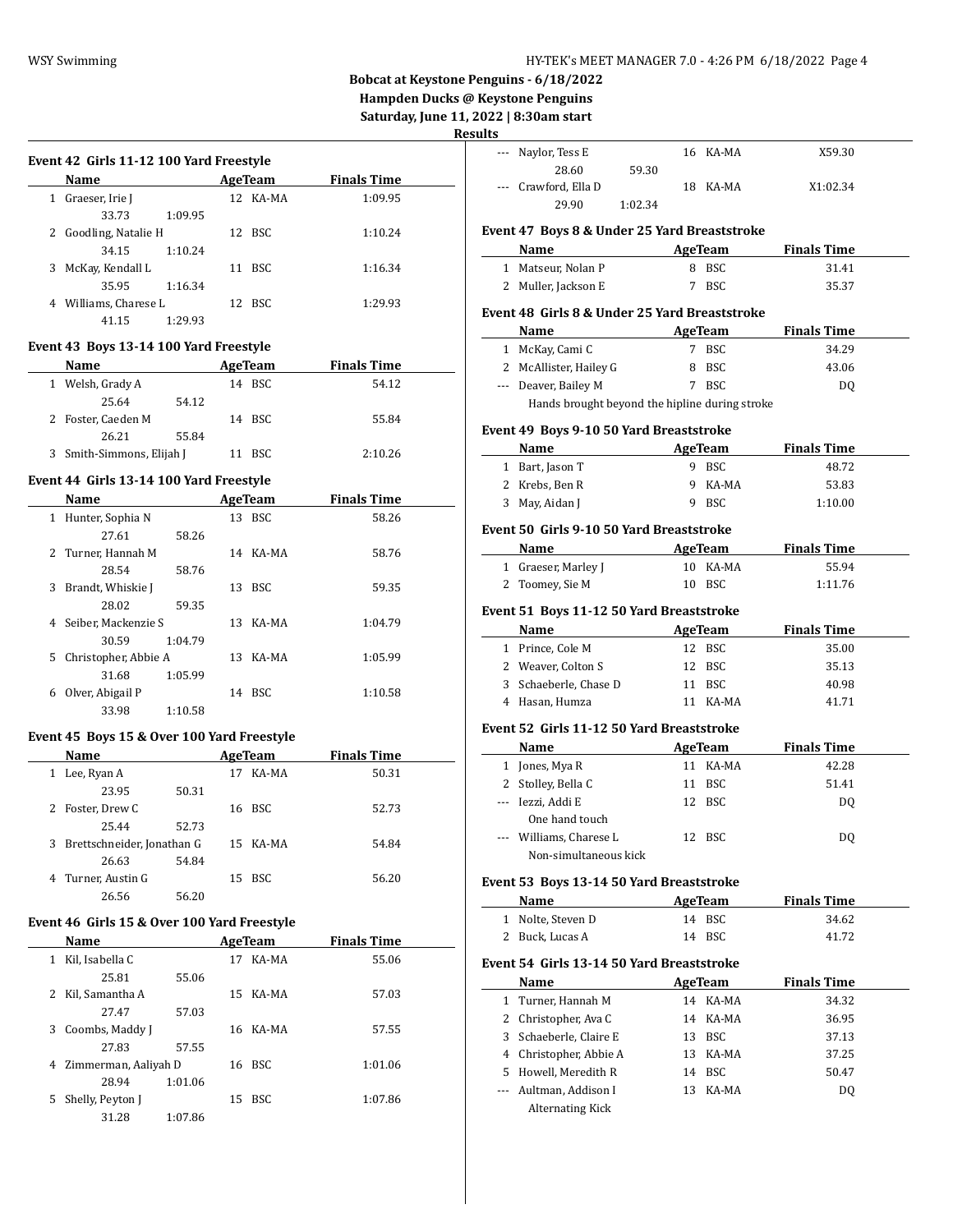# **Bobcat at Keystone Penguins - 6/18/2022**

**Hampden Ducks @ Keystone Penguins Saturday, June 11, 2022 | 8:30am start**

**Results**

 $\frac{1}{2}$ 

 $\overline{\phantom{a}}$ 

 $\overline{a}$ 

|   | Name                  |         |    | AgeTeam  | <b>Finals Time</b> |
|---|-----------------------|---------|----|----------|--------------------|
| 1 | Graeser, Irie J       |         |    | 12 KA-MA | 1:09.95            |
|   | 33.73                 | 1:09.95 |    |          |                    |
|   | 2 Goodling, Natalie H |         |    | 12 BSC   | 1:10.24            |
|   | 34.15                 | 1:10.24 |    |          |                    |
| 3 | McKay, Kendall L      |         | 11 | -BSC     | 1:16.34            |
|   | 35.95                 | 1:16.34 |    |          |                    |
| 4 | Williams, Charese L   |         |    | 12 BSC   | 1:29.93            |
|   | 41.15                 | 1:29.93 |    |          |                    |
|   |                       |         |    |          |                    |

## **Event 43 Boys 13-14 100 Yard Freestyle**

| Name                      |       | AgeTeam | <b>Finals Time</b> |
|---------------------------|-------|---------|--------------------|
| 1 Welsh, Grady A          |       | 14 BSC  | 54.12              |
| 25.64                     | 54.12 |         |                    |
| 2 Foster, Caeden M        |       | 14 BSC  | 55.84              |
| 26.21                     | 55.84 |         |                    |
| 3 Smith-Simmons, Elijah J |       | 11 BSC  | 2:10.26            |

## **Event 44 Girls 13-14 100 Yard Freestyle**

|    | Name                 |         |    | AgeTeam  | <b>Finals Time</b> |  |
|----|----------------------|---------|----|----------|--------------------|--|
| 1  | Hunter, Sophia N     |         |    | 13 BSC   | 58.26              |  |
|    | 27.61                | 58.26   |    |          |                    |  |
|    | 2 Turner, Hannah M   |         |    | 14 KA-MA | 58.76              |  |
|    | 28.54                | 58.76   |    |          |                    |  |
| 3  | Brandt, Whiskie J    |         |    | 13 BSC   | 59.35              |  |
|    | 28.02                | 59.35   |    |          |                    |  |
| 4  | Seiber, Mackenzie S  |         |    | 13 KA-MA | 1:04.79            |  |
|    | 30.59                | 1:04.79 |    |          |                    |  |
| 5. | Christopher, Abbie A |         | 13 | KA-MA    | 1:05.99            |  |
|    | 31.68                | 1:05.99 |    |          |                    |  |
| 6  | Olver, Abigail P     |         | 14 | -BSC     | 1:10.58            |  |
|    | 33.98                | 1:10.58 |    |          |                    |  |

## **Event 45 Boys 15 & Over 100 Yard Freestyle**

L

|    | Name                       |       |    | AgeTeam  | <b>Finals Time</b> |  |
|----|----------------------------|-------|----|----------|--------------------|--|
| 1  | Lee, Ryan A                |       | 17 | KA-MA    | 50.31              |  |
|    | 23.95                      | 50.31 |    |          |                    |  |
| 2  | Foster, Drew C             |       |    | 16 BSC   | 52.73              |  |
|    | 25.44                      | 52.73 |    |          |                    |  |
| 3. | Brettschneider, Jonathan G |       |    | 15 KA-MA | 54.84              |  |
|    | 26.63                      | 54.84 |    |          |                    |  |
| 4  | Turner, Austin G           |       | 15 | BSC      | 56.20              |  |
|    | 26.56                      | 56.20 |    |          |                    |  |

#### **Event 46 Girls 15 & Over 100 Yard Freestyle**

|    | Name                 |         |     | AgeTeam  | <b>Finals Time</b> |
|----|----------------------|---------|-----|----------|--------------------|
| 1  | Kil, Isabella C      |         | 17  | KA-MA    | 55.06              |
|    | 25.81                | 55.06   |     |          |                    |
| 2  | Kil, Samantha A      |         | 15. | KA-MA    | 57.03              |
|    | 27.47                | 57.03   |     |          |                    |
| 3  | Coombs, Maddy J      |         |     | 16 KA-MA | 57.55              |
|    | 27.83                | 57.55   |     |          |                    |
| 4  | Zimmerman, Aaliyah D |         | 16  | BSC      | 1:01.06            |
|    | 28.94                | 1:01.06 |     |          |                    |
| 5. | Shelly, Peyton J     |         | 15  | BSC.     | 1:07.86            |
|    | 31.28                | 1:07.86 |     |          |                    |

|                                                | Naylor, Tess E                                 |         |    | 16 KA-MA   | X59.30             |  |  |
|------------------------------------------------|------------------------------------------------|---------|----|------------|--------------------|--|--|
|                                                | 28.60                                          | 59.30   |    |            |                    |  |  |
|                                                | Crawford, Ella D                               |         | 18 | KA-MA      | X1:02.34           |  |  |
|                                                | 29.90                                          | 1:02.34 |    |            |                    |  |  |
|                                                | Event 47 Boys 8 & Under 25 Yard Breaststroke   |         |    |            |                    |  |  |
|                                                | Name                                           |         |    | AgeTeam    | <b>Finals Time</b> |  |  |
| 1                                              | Matseur, Nolan P                               |         | 8  | BSC        | 31.41              |  |  |
| 2                                              | Muller, Jackson E                              |         | 7  | <b>BSC</b> | 35.37              |  |  |
| Event 48  Girls 8 & Under 25 Yard Breaststroke |                                                |         |    |            |                    |  |  |
|                                                | Name                                           |         |    | AgeTeam    | <b>Finals Time</b> |  |  |
| 1                                              | McKay, Cami C                                  |         | 7  | BSC        | 34.29              |  |  |
| 2                                              | McAllister, Hailey G                           |         | 8  | BSC        | 43.06              |  |  |
| $\cdots$                                       | Deaver, Bailey M                               |         | 7  | BSC        | DQ                 |  |  |
|                                                | Hands brought beyond the hipline during stroke |         |    |            |                    |  |  |

#### **Event 49 Boys 9-10 50 Yard Breaststroke**

| Name            | AgeTeam | <b>Finals Time</b> |  |
|-----------------|---------|--------------------|--|
| 1 Bart, Jason T | 9 BSC   | 48.72              |  |
| 2 Krebs, Ben R  | 9 KA-MA | 53.83              |  |
| 3 May, Aidan J  | 9 BSC   | 1:10.00            |  |

## **Event 50 Girls 9-10 50 Yard Breaststroke**

| Name                | AgeTeam  | <b>Finals Time</b> |  |
|---------------------|----------|--------------------|--|
| 1 Graeser, Marley J | 10 KA-MA | 55.94              |  |
| 2 Toomey, Sie M     | 10 BSC   | 1:11.76            |  |

#### **Event 51 Boys 11-12 50 Yard Breaststroke**

| <b>Name</b>           | AgeTeam | <b>Finals Time</b> |
|-----------------------|---------|--------------------|
| 1 Prince, Cole M      | 12 BSC  | 35.00              |
| 2 Weaver, Colton S    | 12 BSC  | 35.13              |
| 3 Schaeberle, Chase D | 11 BSC  | 40.98              |
| 4 Hasan, Humza        | KA-MA   | 41 71              |

#### **Event 52 Girls 11-12 50 Yard Breaststroke**

| Name                    | AgeTeam |            | <b>Finals Time</b> |  |
|-------------------------|---------|------------|--------------------|--|
| Jones, Mya R            |         | 11 KA-MA   | 42.28              |  |
| 2 Stolley, Bella C      | 11      | <b>BSC</b> | 51.41              |  |
| --- Iezzi, Addi E       |         | 12 BSC     | D0                 |  |
| One hand touch          |         |            |                    |  |
| --- Williams, Charese L |         | 12 BSC     | DO                 |  |
| Non-simultaneous kick   |         |            |                    |  |

#### **Event 53 Boys 13-14 50 Yard Breaststroke**

| Name              | AgeTeam | <b>Finals Time</b> |
|-------------------|---------|--------------------|
| 1 Nolte, Steven D | 14 BSC  | 34.62              |
| 2 Buck, Lucas A   | 14 BSC  | 41.72              |

#### **Event 54 Girls 13-14 50 Yard Breaststroke**

| Name                    | AgeTeam  | <b>Finals Time</b> |  |
|-------------------------|----------|--------------------|--|
| 1 Turner, Hannah M      | 14 KA-MA | 34.32              |  |
| 2 Christopher, Ava C    | 14 KA-MA | 36.95              |  |
| 3 Schaeberle, Claire E  | 13 BSC   | 37.13              |  |
| 4 Christopher, Abbie A  | 13 KA-MA | 37.25              |  |
| 5 Howell, Meredith R    | 14 BSC   | 50.47              |  |
| --- Aultman, Addison I  | 13 KA-MA | D <sub>0</sub>     |  |
| <b>Alternating Kick</b> |          |                    |  |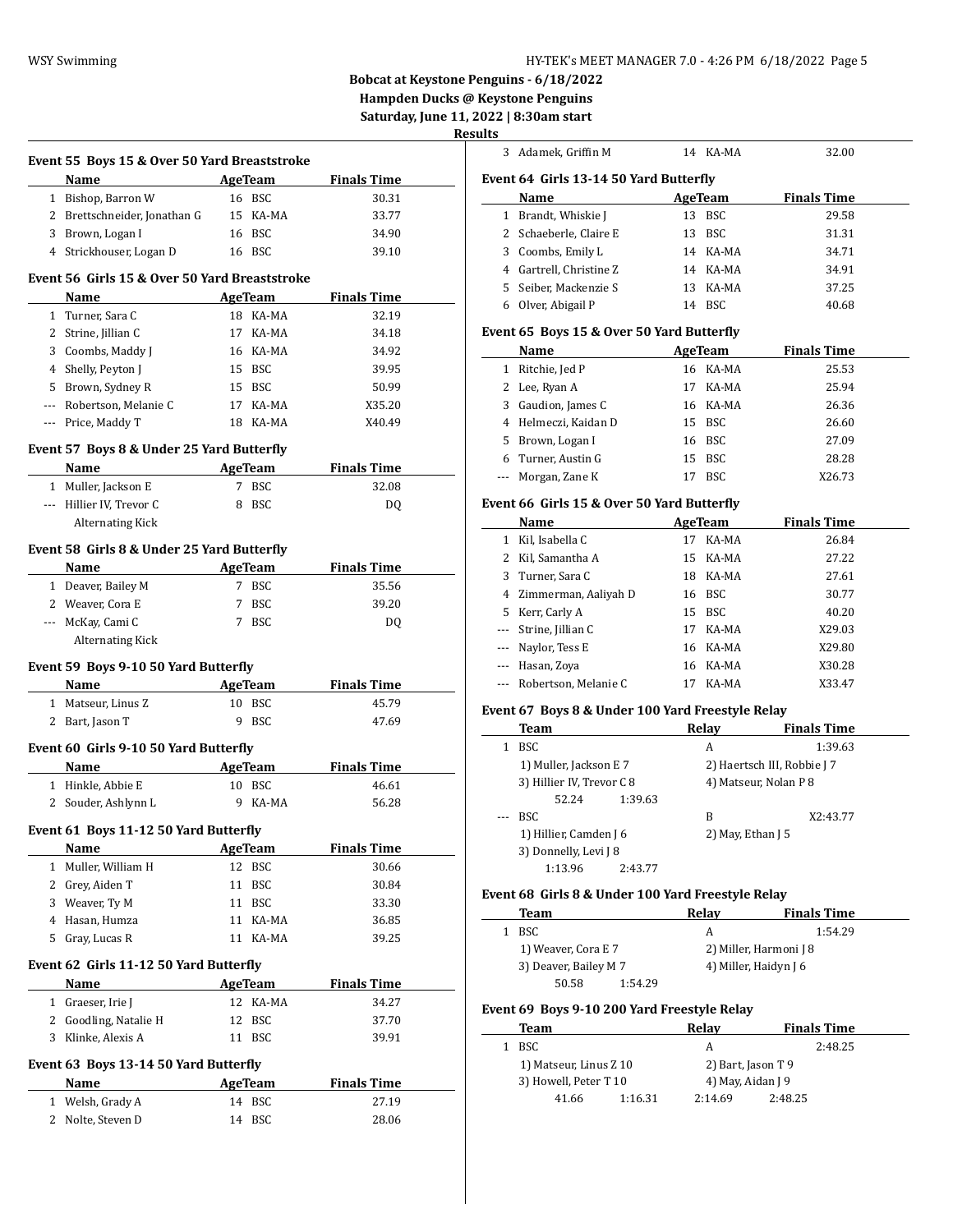## WSY Swimming **HY-TEK's MEET MANAGER 7.0 - 4:26 PM 6/18/2022** Page 5

**Bobcat at Keystone Penguins - 6/18/2022 Hampden Ducks @ Keystone Penguins**

**Saturday, June 11, 2022 | 8:30am start**

# **Resu**

|           | Event 55 Boys 15 & Over 50 Yard Breaststroke<br>Name |    | AgeTeam              | <b>Finals Time</b> |
|-----------|------------------------------------------------------|----|----------------------|--------------------|
|           | 1 Bishop, Barron W                                   |    | 16 BSC               | 30.31              |
|           | 2 Brettschneider, Jonathan G                         |    | 15 KA-MA             | 33.77              |
|           | 3 Brown, Logan I                                     |    | 16 BSC               | 34.90              |
|           | 4 Strickhouser, Logan D                              |    | 16 BSC               | 39.10              |
|           |                                                      |    |                      |                    |
|           | Event 56 Girls 15 & Over 50 Yard Breaststroke        |    |                      |                    |
|           | Name                                                 |    | <b>AgeTeam</b>       | <b>Finals Time</b> |
|           | 1 Turner, Sara C                                     |    | 18 KA-MA             | 32.19              |
|           | 2 Strine, Jillian C                                  |    | 17 KA-MA<br>16 KA-MA | 34.18              |
|           | 3 Coombs, Maddy J                                    |    | 15 BSC               | 34.92<br>39.95     |
|           | 4 Shelly, Peyton J<br>5 Brown, Sydney R              |    | 15 BSC               | 50.99              |
|           | --- Robertson, Melanie C                             |    | 17 KA-MA             | X35.20             |
|           | --- Price, Maddy T                                   |    | 18 KA-MA             | X40.49             |
|           |                                                      |    |                      |                    |
|           | Event 57 Boys 8 & Under 25 Yard Butterfly            |    |                      |                    |
|           | Name                                                 |    | AgeTeam              | <b>Finals Time</b> |
|           | 1 Muller, Jackson E                                  |    | 7 BSC                | 32.08              |
|           | --- Hillier IV, Trevor C                             |    | 8 BSC                | DQ                 |
|           | <b>Alternating Kick</b>                              |    |                      |                    |
|           | Event 58 Girls 8 & Under 25 Yard Butterfly           |    |                      |                    |
|           | Name                                                 |    | <b>AgeTeam</b>       | <b>Finals Time</b> |
|           | 1 Deaver, Bailey M                                   |    | 7 BSC                | 35.56              |
|           | 2 Weaver, Cora E                                     |    | 7 BSC                | 39.20              |
|           | --- McKay, Cami C                                    |    | 7 BSC                | DQ                 |
|           | <b>Alternating Kick</b>                              |    |                      |                    |
|           | Event 59 Boys 9-10 50 Yard Butterfly                 |    |                      |                    |
|           | Name AgeTeam                                         |    |                      | <b>Finals Time</b> |
|           | 1 Matseur, Linus Z                                   |    | 10 BSC               | 45.79              |
|           | 2 Bart, Jason T                                      |    | 9 BSC                | 47.69              |
|           | Event 60 Girls 9-10 50 Yard Butterfly                |    |                      |                    |
|           | Name                                                 |    | AgeTeam              | <b>Finals Time</b> |
|           | 1 Hinkle, Abbie E                                    |    | 10 BSC               | 46.61              |
|           | 2 Souder, Ashlynn L                                  |    | 9 KA-MA              | 56.28              |
|           |                                                      |    |                      |                    |
|           | Event 61 Boys 11-12 50 Yard Butterfly                |    |                      |                    |
|           | <b>Name</b>                                          |    | <b>AgeTeam</b>       | <b>Finals Time</b> |
|           |                                                      |    |                      |                    |
| 1         | Muller, William H                                    |    | 12 BSC               | 30.66              |
| 2         | Grey, Aiden T                                        | 11 | <b>BSC</b>           | 30.84              |
|           | 3 Weaver, Ty M                                       | 11 | BSC                  | 33.30              |
|           | 4 Hasan, Humza                                       | 11 | KA-MA                | 36.85              |
|           | 5 Gray, Lucas R                                      | 11 | KA-MA                | 39.25              |
|           | Event 62 Girls 11-12 50 Yard Butterfly               |    |                      |                    |
|           | Name                                                 |    | <b>AgeTeam</b>       | <b>Finals Time</b> |
| $1 \quad$ | Graeser, Irie J                                      | 12 | KA-MA                | 34.27              |
|           | 2 Goodling, Natalie H                                | 12 | <b>BSC</b>           | 37.70              |
| 3         | Klinke, Alexis A                                     |    | 11 BSC               | 39.91              |
|           | Event 63 Boys 13-14 50 Yard Butterfly                |    |                      |                    |
|           | Name                                                 |    | <b>AgeTeam</b>       | <b>Finals Time</b> |
|           | 1 Welsh, Grady A                                     |    | 14 BSC               | 27.19              |
| 2         | Nolte, Steven D                                      |    | 14 BSC               | 28.06              |

| <u>ults</u>  |                                                   |                       |                             |
|--------------|---------------------------------------------------|-----------------------|-----------------------------|
| 3            | Adamek, Griffin M                                 | 14 KA-MA              | 32.00                       |
|              | Event 64 Girls 13-14 50 Yard Butterfly            |                       |                             |
|              | Name                                              | AgeTeam               | <b>Finals Time</b>          |
|              | 1 Brandt, Whiskie J                               | 13 BSC                | 29.58                       |
|              | 2 Schaeberle, Claire E                            | 13 BSC                | 31.31                       |
|              | 3 Coombs, Emily L                                 | 14 KA-MA              | 34.71                       |
|              | 4 Gartrell, Christine Z                           | 14 KA-MA              | 34.91                       |
|              | 5 Seiber, Mackenzie S                             | 13 KA-MA              | 37.25                       |
|              | 6 Olver, Abigail P                                | 14 BSC                | 40.68                       |
|              |                                                   |                       |                             |
|              | Event 65 Boys 15 & Over 50 Yard Butterfly         |                       |                             |
|              | Name                                              | <b>AgeTeam</b>        | <b>Finals Time</b>          |
|              | 1 Ritchie, Jed P                                  | 16 KA-MA              | 25.53                       |
|              | 2 Lee, Ryan A                                     | 17 KA-MA              | 25.94                       |
|              | 3 Gaudion, James C                                | 16 KA-MA              | 26.36                       |
|              | 4 Helmeczi, Kaidan D                              | 15 BSC                | 26.60                       |
|              | 5 Brown, Logan I                                  | 16 BSC                | 27.09                       |
|              | 6 Turner, Austin G                                | 15 BSC                | 28.28                       |
| $\cdots$     | Morgan, Zane K                                    | 17 BSC                | X26.73                      |
|              | Event 66 Girls 15 & Over 50 Yard Butterfly        |                       |                             |
|              | Name                                              | <b>AgeTeam</b>        | <b>Finals Time</b>          |
|              | 1 Kil, Isabella C                                 | 17 KA-MA              | 26.84                       |
|              | 2 Kil, Samantha A                                 | 15 KA-MA              | 27.22                       |
|              | 3 Turner, Sara C                                  | 18 KA-MA              | 27.61                       |
|              | 4 Zimmerman, Aaliyah D                            | 16 BSC                | 30.77                       |
|              | 5 Kerr, Carly A                                   | 15 BSC                | 40.20                       |
| $---$        | Strine, Jillian C                                 | 17 KA-MA              | X29.03                      |
| $---$        | Naylor, Tess E                                    | 16 KA-MA              | X29.80                      |
|              | --- Hasan, Zoya                                   | 16 KA-MA              | X30.28                      |
| $---$        | Robertson, Melanie C                              | 17 KA-MA              | X33.47                      |
|              |                                                   |                       |                             |
|              | Event 67 Boys 8 & Under 100 Yard Freestyle Relay  |                       |                             |
|              | Team                                              | Relay                 | <b>Finals Time</b>          |
|              | 1 BSC                                             | A                     | 1:39.63                     |
|              | 1) Muller, Jackson E 7                            |                       | 2) Haertsch III, Robbie J 7 |
|              | 3) Hillier IV, Trevor C 8                         |                       | 4) Matseur, Nolan P 8       |
|              | 52.24<br>1:39.63                                  |                       |                             |
|              | <b>BSC</b>                                        | B                     | X2:43.77                    |
|              | 1) Hillier, Camden J 6                            | 2) May, Ethan J 5     |                             |
|              | 3) Donnelly, Levi J 8<br>1:13.96<br>2:43.77       |                       |                             |
|              |                                                   |                       |                             |
|              | Event 68 Girls 8 & Under 100 Yard Freestyle Relay |                       |                             |
|              | Team                                              | Relay                 | <b>Finals Time</b>          |
|              | 1 BSC                                             | A                     | 1:54.29                     |
|              | 1) Weaver, Cora E 7                               |                       | 2) Miller, Harmoni J 8      |
|              | 3) Deaver, Bailey M 7                             | 4) Miller, Haidyn J 6 |                             |
|              | 50.58<br>1:54.29                                  |                       |                             |
|              | Event 69 Boys 9-10 200 Yard Freestyle Relay       |                       |                             |
|              | Team                                              | Relay                 | <b>Finals Time</b>          |
| $\mathbf{1}$ | BSC                                               | A                     | 2:48.25                     |
|              | 1) Matseur, Linus Z 10                            | 2) Bart, Jason T 9    |                             |
|              | 3) Howell, Peter T 10                             | 4) May, Aidan J 9     |                             |
|              | 41.66<br>1:16.31                                  | 2:14.69               | 2:48.25                     |
|              |                                                   |                       |                             |